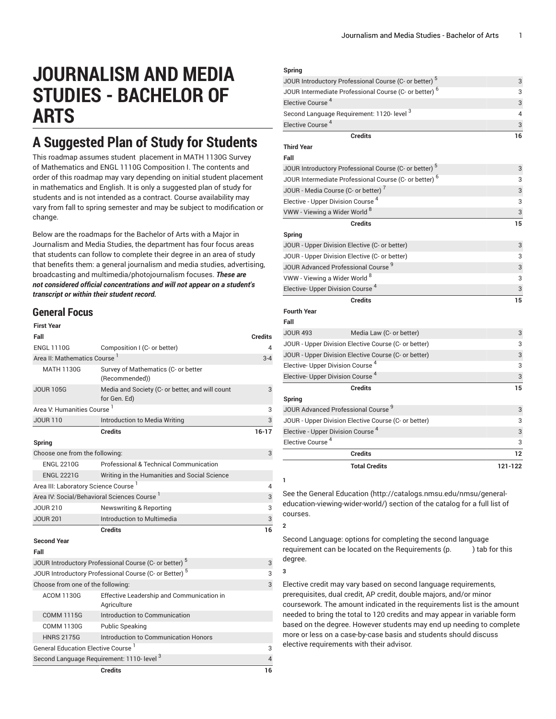# **JOURNALISM AND MEDIA STUDIES - BACHELOR OF ARTS**

## **A Suggested Plan of Study for Students**

This roadmap assumes student placement in MATH 1130G Survey of Mathematics and ENGL 1110G Composition I. The contents and order of this roadmap may vary depending on initial student placement in mathematics and English. It is only a suggested plan of study for students and is not intended as a contract. Course availability may vary from fall to spring semester and may be subject to modification or change.

Below are the roadmaps for the Bachelor of Arts with a Major in Journalism and Media Studies, the department has four focus areas that students can follow to complete their degree in an area of study that benefits them: a general journalism and media studies, advertising, broadcasting and multimedia/photojournalism focuses. *These are not considered official concentrations and will not appear on a student's transcript or within their student record.*

### **General Focus**

| <b>First Year</b>                              |                                                                   |                |
|------------------------------------------------|-------------------------------------------------------------------|----------------|
| Fall                                           |                                                                   | <b>Credits</b> |
| <b>ENGL 1110G</b>                              | Composition I (C- or better)                                      | 4              |
| Area II: Mathematics Course 1                  | $3 - 4$                                                           |                |
| <b>MATH 1130G</b>                              | Survey of Mathematics (C- or better<br>(Recommended))             |                |
| <b>JOUR 105G</b>                               | Media and Society (C- or better, and will count<br>for Gen. Ed)   | 3              |
| Area V: Humanities Course <sup>1</sup>         |                                                                   | 3              |
| <b>JOUR 110</b>                                | Introduction to Media Writing                                     | 3              |
|                                                | <b>Credits</b>                                                    | $16 - 17$      |
| Spring                                         |                                                                   |                |
| Choose one from the following:                 |                                                                   | 3              |
| <b>ENGL 2210G</b>                              | Professional & Technical Communication                            |                |
| <b>ENGL 2221G</b>                              | Writing in the Humanities and Social Science                      |                |
| Area III: Laboratory Science Course 1          |                                                                   | 4              |
|                                                | Area IV: Social/Behavioral Sciences Course                        | 3              |
| <b>JOUR 210</b>                                | <b>Newswriting &amp; Reporting</b>                                | 3              |
| <b>JOUR 201</b>                                | Introduction to Multimedia                                        | 3              |
|                                                | <b>Credits</b>                                                    | 16             |
| <b>Second Year</b>                             |                                                                   |                |
| Fall                                           |                                                                   |                |
|                                                | JOUR Introductory Professional Course (C- or better) <sup>5</sup> | 3              |
|                                                | JOUR Introductory Professional Course (C- or Better) <sup>5</sup> | 3              |
| Choose from one of the following:              |                                                                   | 3              |
| <b>ACOM 1130G</b>                              | Effective Leadership and Communication in<br>Agriculture          |                |
| <b>COMM 1115G</b>                              | Introduction to Communication                                     |                |
| <b>COMM 1130G</b>                              | <b>Public Speaking</b>                                            |                |
| <b>HNRS 2175G</b>                              | Introduction to Communication Honors                              |                |
| General Education Elective Course <sup>1</sup> | 3                                                                 |                |
|                                                | Second Language Requirement: 1110- level 3                        | $\overline{4}$ |
|                                                | <b>Credits</b>                                                    | 16             |

#### **Spring** JOUR Introductory Professional Course (C- or better)  $^5$ 3 JOUR Intermediate Professional Course (C- or better)  $^6$ 3 Elective Course 4 3 Second Language Requirement: 1120- level  $^{\rm 3}$ 4 Elective Course 4 3 **Credits 16 Third Year Fall** JOUR Introductory Professional Course (C- or better) 5 3 JOUR Intermediate Professional Course (C- or better)  $^6$ 3 JOUR - Media Course (C- or better)<sup>7</sup> 3 Elective - Upper Division Course 4 3 VWW - Viewing a Wider World  $^8$ 3 **Credits 15 Spring** JOUR - Upper Division Elective (C- or better) 3 JOUR - Upper Division Elective (C- or better) 3 JOUR Advanced Professional Course 9 3 VWW - Viewing a Wider World 8 3 Elective- Upper Division Course 4 3 **Credits 15 Fourth Year Fall** JOUR 493 Media Law (C- or better) 3 JOUR - Upper Division Elective Course (C- or better) 3 JOUR - Upper Division Elective Course (C- or better) 3 Elective- Upper Division Course 4 3 Elective- Upper Division Course 4 3 **Credits 15 Spring** JOUR Advanced Professional Course 9 3 JOUR - Upper Division Elective Course (C- or better) 3 Elective - Upper Division Course 4 3 Elective Course 4 3 **Credits 12 Total Credits 121-122**

See the General [Education](http://catalogs.nmsu.edu/nmsu/general-education-viewing-wider-world/) ([http://catalogs.nmsu.edu/nmsu/general](http://catalogs.nmsu.edu/nmsu/general-education-viewing-wider-world/)[education-viewing-wider-world/\)](http://catalogs.nmsu.edu/nmsu/general-education-viewing-wider-world/) section of the catalog for a full list of courses.

Second Language: options for completing the second language requirement can be located on the Requirements (p. ) tab for this degree.

**3**

**1**

**2**

Elective credit may vary based on second language requirements, prerequisites, dual credit, AP credit, double majors, and/or minor coursework. The amount indicated in the requirements list is the amount needed to bring the total to 120 credits and may appear in variable form based on the degree. However students may end up needing to complete more or less on a case-by-case basis and students should discuss elective requirements with their advisor.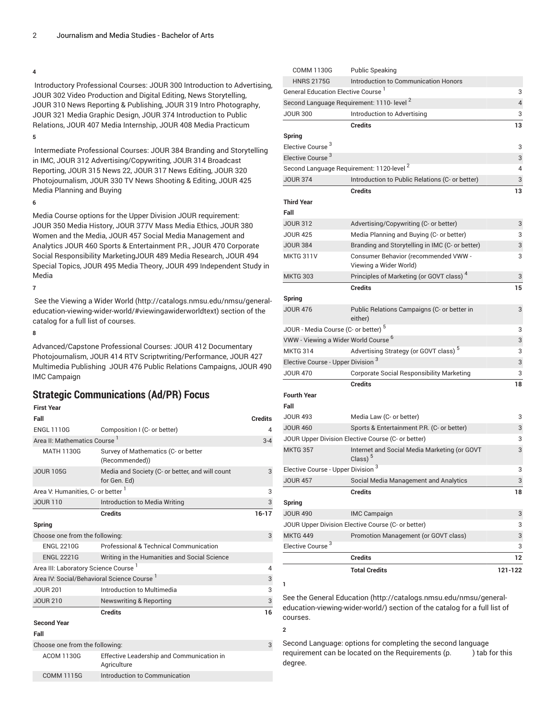Introductory Professional Courses: JOUR 300 Introduction to Advertising, JOUR 302 Video Production and Digital Editing, News Storytelling, JOUR 310 News Reporting & Publishing, JOUR 319 Intro Photography, JOUR 321 Media Graphic Design, JOUR 374 Introduction to Public Relations, JOUR 407 Media Internship, JOUR 408 Media Practicum

**5**

Intermediate Professional Courses: JOUR 384 Branding and Storytelling in IMC, JOUR 312 Advertising/Copywriting, JOUR 314 Broadcast Reporting, JOUR 315 News 22, JOUR 317 News Editing, JOUR 320 Photojournalism, JOUR 330 TV News Shooting & Editing, JOUR 425 Media Planning and Buying

### **6**

Media Course options for the Upper Division JOUR requirement: JOUR 350 Media History, JOUR 377V Mass Media Ethics, JOUR 380 Women and the Media, JOUR 457 Social Media Management and Analytics JOUR 460 Sports & Entertainment P.R., JOUR 470 Corporate Social Responsibility MarketingJOUR 489 Media Research, JOUR 494 Special Topics, JOUR 495 Media Theory, JOUR 499 Independent Study in Media

**7**

 See the [Viewing](http://catalogs.nmsu.edu/nmsu/general-education-viewing-wider-world/#viewingawiderworldtext) a Wider World ([http://catalogs.nmsu.edu/nmsu/general](http://catalogs.nmsu.edu/nmsu/general-education-viewing-wider-world/#viewingawiderworldtext)[education-viewing-wider-world/#viewingawiderworldtext\)](http://catalogs.nmsu.edu/nmsu/general-education-viewing-wider-world/#viewingawiderworldtext) section of the catalog for a full list of courses.

### **8**

Advanced/Capstone Professional Courses: JOUR 412 Documentary Photojournalism, JOUR 414 RTV Scriptwriting/Performance, JOUR 427 Multimedia Publishing JOUR 476 Public Relations Campaigns, JOUR 490 IMC Campaign

### **Strategic Communications (Ad/PR) Focus**

### **First Year**

| Fall                                                                       |                                                                 | <b>Credits</b> |
|----------------------------------------------------------------------------|-----------------------------------------------------------------|----------------|
| <b>ENGL 1110G</b>                                                          | Composition I (C- or better)                                    | $\overline{4}$ |
| Area II: Mathematics Course <sup>1</sup>                                   |                                                                 | $3 - 4$        |
| <b>MATH 1130G</b><br>Survey of Mathematics (C- or better<br>(Recommended)) |                                                                 |                |
| <b>JOUR 105G</b>                                                           | Media and Society (C- or better, and will count<br>for Gen. Ed) | 3              |
| Area V: Humanities, C- or better 1                                         |                                                                 | 3              |
| <b>JOUR 110</b>                                                            | Introduction to Media Writing                                   | 3              |
|                                                                            | <b>Credits</b>                                                  | $16 - 17$      |
| Spring                                                                     |                                                                 |                |
| Choose one from the following:                                             |                                                                 | 3              |
| <b>ENGL 2210G</b>                                                          | Professional & Technical Communication                          |                |
| <b>ENGL 2221G</b>                                                          | Writing in the Humanities and Social Science                    |                |
| Area III: Laboratory Science Course <sup>1</sup>                           |                                                                 | $\overline{4}$ |
| Area IV: Social/Behavioral Science Course 1                                |                                                                 | 3              |
| <b>JOUR 201</b>                                                            | Introduction to Multimedia                                      | 3              |
| <b>JOUR 210</b>                                                            | <b>Newswriting &amp; Reporting</b>                              | 3              |
|                                                                            | <b>Credits</b>                                                  | 16             |
| <b>Second Year</b>                                                         |                                                                 |                |
| Fall                                                                       |                                                                 |                |
| Choose one from the following:                                             |                                                                 | 3              |
| <b>ACOM 1130G</b>                                                          | Effective Leadership and Communication in<br>Agriculture        |                |
| <b>COMM 1115G</b>                                                          | Introduction to Communication                                   |                |

| <b>CUMM LISUG</b>                               | Public Speaking                                            |         |
|-------------------------------------------------|------------------------------------------------------------|---------|
| <b>HNRS 2175G</b>                               | Introduction to Communication Honors                       |         |
| General Education Elective Course <sup>1</sup>  |                                                            | 3       |
|                                                 | Second Language Requirement: 1110- level <sup>2</sup>      | 4       |
| <b>JOUR 300</b>                                 | Introduction to Advertising                                | 3       |
|                                                 | <b>Credits</b>                                             | 13      |
| Spring                                          |                                                            |         |
| Elective Course <sup>3</sup>                    |                                                            | 3       |
| Elective Course <sup>3</sup>                    |                                                            | 3       |
|                                                 | Second Language Requirement: 1120-level <sup>2</sup>       | 4       |
| <b>JOUR 374</b>                                 | Introduction to Public Relations (C- or better)            | 3       |
|                                                 | <b>Credits</b>                                             | 13      |
| <b>Third Year</b>                               |                                                            |         |
| Fall                                            |                                                            |         |
| <b>JOUR 312</b>                                 | Advertising/Copywriting (C- or better)                     | 3       |
| <b>JOUR 425</b>                                 | Media Planning and Buying (C- or better)                   | 3       |
| <b>JOUR 384</b>                                 | Branding and Storytelling in IMC (C- or better)            | 3       |
| MKTG 311V                                       | Consumer Behavior (recommended VWW -                       | 3       |
|                                                 | Viewing a Wider World)                                     |         |
| <b>MKTG 303</b>                                 | Principles of Marketing (or GOVT class) <sup>4</sup>       | 3       |
|                                                 | <b>Credits</b>                                             | 15      |
| Spring                                          |                                                            |         |
| <b>JOUR 476</b>                                 | Public Relations Campaigns (C- or better in<br>either)     | 3       |
| JOUR - Media Course (C- or better) <sup>5</sup> |                                                            | 3       |
| VWW - Viewing a Wider World Course <sup>6</sup> |                                                            | 3       |
| <b>MKTG 314</b>                                 | Advertising Strategy (or GOVT class) <sup>5</sup>          | 3       |
| Elective Course - Upper Division <sup>3</sup>   |                                                            | 3       |
| <b>JOUR 470</b>                                 | <b>Corporate Social Responsibility Marketing</b>           | 3       |
|                                                 | <b>Credits</b>                                             | 18      |
| <b>Fourth Year</b>                              |                                                            |         |
| Fall                                            |                                                            |         |
| <b>JOUR 493</b>                                 | Media Law (C- or better)                                   | 3       |
| <b>JOUR 460</b>                                 | Sports & Entertainment P.R. (C- or better)                 | 3       |
|                                                 | JOUR Upper Division Elective Course (C- or better)         | 3       |
| <b>MKTG 357</b>                                 | Internet and Social Media Marketing (or GOVT<br>Class) $5$ | 3       |
| Elective Course - Upper Division <sup>3</sup>   |                                                            | 3       |
| <b>JOUR 457</b>                                 | Social Media Management and Analytics                      | 3       |
|                                                 | <b>Credits</b>                                             | 18      |
| Spring                                          |                                                            |         |
| <b>JOUR 490</b>                                 | <b>IMC Campaign</b>                                        | 3       |
|                                                 | JOUR Upper Division Elective Course (C- or better)         | 3       |
| <b>MKTG 449</b>                                 | Promotion Management (or GOVT class)                       | 3       |
| Elective Course <sup>3</sup>                    |                                                            | 3       |
|                                                 | <b>Credits</b>                                             | 12      |
|                                                 | <b>Total Credits</b>                                       | 121-122 |
|                                                 |                                                            |         |

 $OMM11900$   $P<sub>u</sub> + P<sub>u</sub>$ 

See the General [Education](http://catalogs.nmsu.edu/nmsu/general-education-viewing-wider-world/) ([http://catalogs.nmsu.edu/nmsu/general](http://catalogs.nmsu.edu/nmsu/general-education-viewing-wider-world/)[education-viewing-wider-world/\)](http://catalogs.nmsu.edu/nmsu/general-education-viewing-wider-world/) section of the catalog for a full list of courses.

**2**

Second Language: options for completing the second language requirement can be located on the Requirements (p. ) tab for this degree.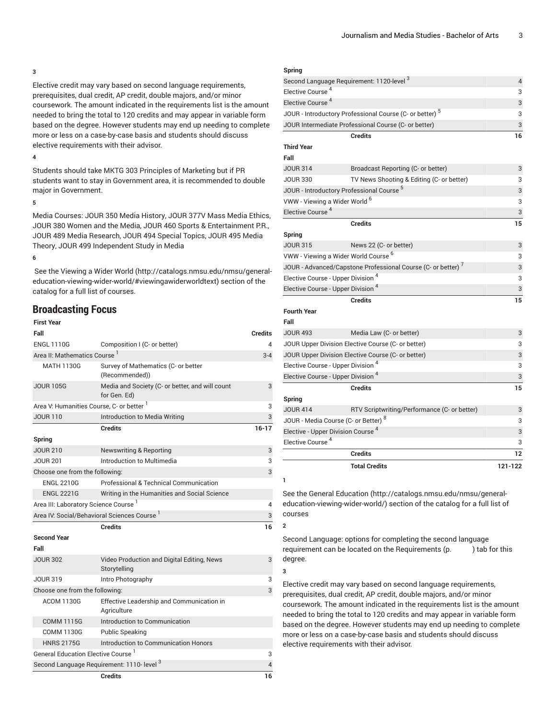Elective credit may vary based on second language requirements, prerequisites, dual credit, AP credit, double majors, and/or minor coursework. The amount indicated in the requirements list is the amount needed to bring the total to 120 credits and may appear in variable form based on the degree. However students may end up needing to complete more or less on a case-by-case basis and students should discuss elective requirements with their advisor.

### **4**

Students should take MKTG 303 Principles of Marketing but if PR students want to stay in Government area, it is recommended to double major in Government.

#### **5**

Media Courses: JOUR 350 Media History, JOUR 377V Mass Media Ethics, JOUR 380 Women and the Media, JOUR 460 Sports & Entertainment P.R., JOUR 489 Media Research, JOUR 494 Special Topics, JOUR 495 Media Theory, JOUR 499 Independent Study in Media

#### **6**

 See the [Viewing](http://catalogs.nmsu.edu/nmsu/general-education-viewing-wider-world/#viewingawiderworldtext) a Wider World ([http://catalogs.nmsu.edu/nmsu/general](http://catalogs.nmsu.edu/nmsu/general-education-viewing-wider-world/#viewingawiderworldtext)[education-viewing-wider-world/#viewingawiderworldtext\)](http://catalogs.nmsu.edu/nmsu/general-education-viewing-wider-world/#viewingawiderworldtext) section of the catalog for a full list of courses.

### **Broadcasting Focus**

| <b>First Year</b>                                    |                                                                 |                |
|------------------------------------------------------|-----------------------------------------------------------------|----------------|
| Fall                                                 |                                                                 | Credits        |
| <b>ENGL 1110G</b>                                    | Composition I (C- or better)                                    | 4              |
| Area II: Mathematics Course <sup>1</sup>             | $3 - 4$                                                         |                |
| <b>MATH 1130G</b>                                    | Survey of Mathematics (C- or better<br>(Recommended))           |                |
| <b>JOUR 105G</b>                                     | Media and Society (C- or better, and will count<br>for Gen. Ed) | 3              |
| Area V: Humanities Course, C- or better <sup>1</sup> |                                                                 | 3              |
| <b>JOUR 110</b>                                      | Introduction to Media Writing                                   | 3              |
|                                                      | <b>Credits</b>                                                  | $16 - 17$      |
| Spring                                               |                                                                 |                |
| <b>JOUR 210</b>                                      | <b>Newswriting &amp; Reporting</b>                              | 3              |
| Introduction to Multimedia<br><b>JOUR 201</b>        |                                                                 | 3              |
| Choose one from the following:                       | 3                                                               |                |
| <b>ENGL 2210G</b>                                    | Professional & Technical Communication                          |                |
| <b>ENGL 2221G</b>                                    | Writing in the Humanities and Social Science                    |                |
| Area III: Laboratory Science Course 1                |                                                                 | 4              |
|                                                      | Area IV: Social/Behavioral Sciences Course <sup>1</sup>         | 3              |
|                                                      | <b>Credits</b>                                                  | 16             |
| <b>Second Year</b>                                   |                                                                 |                |
| Fall                                                 |                                                                 |                |
| <b>JOUR 302</b>                                      | Video Production and Digital Editing, News<br>Storytelling      | 3              |
| <b>JOUR 319</b>                                      | Intro Photography                                               | 3              |
| Choose one from the following:                       |                                                                 |                |
| <b>ACOM 1130G</b>                                    | Effective Leadership and Communication in<br>Agriculture        |                |
| <b>COMM 1115G</b>                                    | Introduction to Communication                                   |                |
| <b>COMM 1130G</b>                                    | <b>Public Speaking</b>                                          |                |
| <b>HNRS 2175G</b>                                    | Introduction to Communication Honors                            |                |
| General Education Elective Course <sup>1</sup>       | 3                                                               |                |
|                                                      | Second Language Requirement: 1110- level 3                      | $\overline{4}$ |
|                                                      | <b>Credits</b>                                                  | 16             |

| Second Language Requirement: 1120-level 3       |                                                                          | $\overline{4}$ |
|-------------------------------------------------|--------------------------------------------------------------------------|----------------|
| Elective Course <sup>4</sup>                    |                                                                          | 3              |
| Elective Course <sup>4</sup>                    |                                                                          | 3              |
|                                                 | JOUR - Introductory Professional Course (C- or better) $^5$              | 3              |
|                                                 | JOUR Intermediate Professional Course (C- or better)                     | 3              |
|                                                 | <b>Credits</b>                                                           | 16             |
| <b>Third Year</b>                               |                                                                          |                |
| Fall                                            |                                                                          |                |
| <b>JOUR 314</b>                                 | Broadcast Reporting (C- or better)                                       | 3              |
| <b>JOUR 330</b>                                 | TV News Shooting & Editing (C- or better)                                | 3              |
| JOUR - Introductory Professional Course 5       |                                                                          | 3              |
| VWW - Viewing a Wider World <sup>6</sup>        |                                                                          | 3              |
| Elective Course <sup>4</sup>                    |                                                                          | 3              |
|                                                 | <b>Credits</b>                                                           | 15             |
| Spring                                          |                                                                          |                |
| <b>JOUR 315</b>                                 | News 22 (C- or better)                                                   | 3              |
| VWW - Viewing a Wider World Course <sup>6</sup> |                                                                          | 3              |
|                                                 | JOUR - Advanced/Capstone Professional Course (C- or better) <sup>7</sup> | 3              |
| Elective Course - Upper Division <sup>4</sup>   |                                                                          | 3              |
| Elective Course - Upper Division <sup>4</sup>   |                                                                          | 3              |
|                                                 | <b>Credits</b>                                                           | 15             |
| <b>Fourth Year</b>                              |                                                                          |                |
| Fall                                            |                                                                          |                |
| <b>JOUR 493</b>                                 | Media Law (C- or better)                                                 | 3              |
|                                                 | JOUR Upper Division Elective Course (C- or better)                       | 3              |
|                                                 | JOUR Upper Division Elective Course (C- or better)                       | 3              |
| Elective Course - Upper Division <sup>4</sup>   |                                                                          | 3              |
| Elective Course - Upper Division <sup>4</sup>   |                                                                          | 3              |
|                                                 | <b>Credits</b>                                                           | 15             |
| Spring                                          |                                                                          |                |
| <b>JOUR 414</b>                                 | RTV Scriptwriting/Performance (C- or better)                             | 3              |
| JOUR - Media Course (C- or Better) <sup>8</sup> |                                                                          | 3              |
| Elective - Upper Division Course <sup>4</sup>   |                                                                          | 3              |
| Elective Course <sup>4</sup>                    |                                                                          | 3              |
|                                                 | <b>Credits</b>                                                           | 12             |
|                                                 | <b>Total Credits</b>                                                     | 121-122        |
|                                                 |                                                                          |                |

See the General [Education](http://catalogs.nmsu.edu/nmsu/general-education-viewing-wider-world/) ([http://catalogs.nmsu.edu/nmsu/general](http://catalogs.nmsu.edu/nmsu/general-education-viewing-wider-world/)[education-viewing-wider-world/\)](http://catalogs.nmsu.edu/nmsu/general-education-viewing-wider-world/) section of the catalog for a full list of courses

Second Language: options for completing the second language requirement can be located on the Requirements (p. ) tab for this degree.

**3**

**1**

**2**

Elective credit may vary based on second language requirements, prerequisites, dual credit, AP credit, double majors, and/or minor coursework. The amount indicated in the requirements list is the amount needed to bring the total to 120 credits and may appear in variable form based on the degree. However students may end up needing to complete more or less on a case-by-case basis and students should discuss elective requirements with their advisor.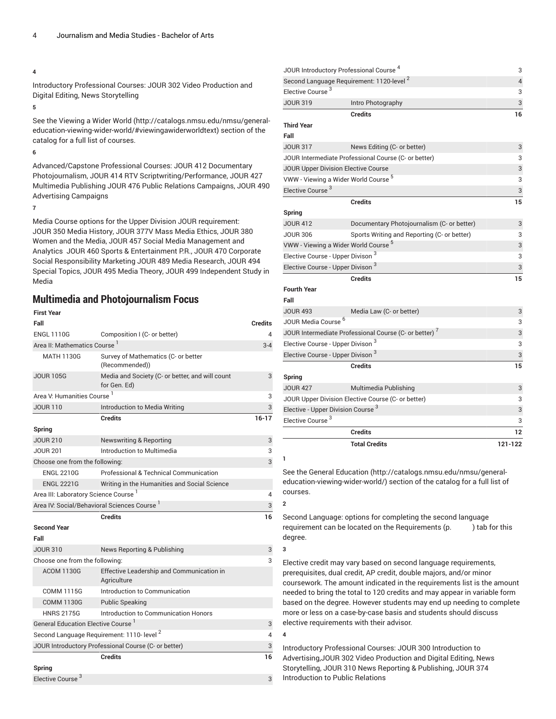Introductory Professional Courses: JOUR 302 Video Production and Digital Editing, News Storytelling

### **5**

See the [Viewing](http://catalogs.nmsu.edu/nmsu/general-education-viewing-wider-world/#viewingawiderworldtext) a Wider World ([http://catalogs.nmsu.edu/nmsu/general](http://catalogs.nmsu.edu/nmsu/general-education-viewing-wider-world/#viewingawiderworldtext)[education-viewing-wider-world/#viewingawiderworldtext\)](http://catalogs.nmsu.edu/nmsu/general-education-viewing-wider-world/#viewingawiderworldtext) section of the catalog for a full list of courses.

### **6**

Advanced/Capstone Professional Courses: [JOUR 412](/search/?P=JOUR%20412) Documentary Photojournalism, [JOUR 414](/search/?P=JOUR%20414) RTV Scriptwriting/Performance, JOUR 427 Multimedia Publishing [JOUR 476](/search/?P=JOUR%20476) Public Relations Campaigns, [JOUR 490](/search/?P=JOUR%20490) Advertising Campaigns

#### **7**

Media Course options for the Upper Division JOUR requirement: [JOUR 350](/search/?P=JOUR%20350) Media History, [JOUR 377V](/search/?P=JOUR%20377V) Mass Media Ethics, [JOUR 380](/search/?P=JOUR%20380) Women and the Media, JOUR 457 Social Media Management and Analytics  [JOUR 460](/search/?P=JOUR%20460) Sports & Entertainment P.R., JOUR 470 Corporate Social Responsibility Marketing [JOUR 489](/search/?P=JOUR%20489) Media Research, [JOUR 494](/search/?P=JOUR%20494) Special Topics, [JOUR 495](/search/?P=JOUR%20495) Media Theory, [JOUR 499](/search/?P=JOUR%20499) Independent Study in Media

### **Multimedia and Photojournalism Focus**

### **First Year Fall Credits** ENGL 1110G Composition I (C- or better) 4 Area II: Mathematics Course <sup>1</sup> 3-4 MATH 1130G Survey of Mathematics (C- or better (Recommended)) JOUR 105G Media and Society (C- or better, and will count for Gen. Ed) 3 Area V: Humanities Course 1 3 JOUR 110 **Introduction to Media Writing** 3 **Credits 16-17 Spring** JOUR 210 Newswriting & Reporting 3 JOUR 201 **Introduction to Multimedia** 3 Choose one from the following: 3 ENGL 2210G Professional & Technical Communication ENGL 2221G Writing in the Humanities and Social Science Area III: Laboratory Science Course 1 4 Area IV: Social/Behavioral Sciences Course <sup>1</sup> 3 **Credits 16 Second Year Fall** JOUR 310 News Reporting & Publishing 3 News 3 Choose one from the following: 3 ACOM 1130G Effective Leadership and Communication in **Agriculture** COMM 1115G Introduction to Communication COMM 1130G Public Speaking HNRS 2175G Introduction to Communication Honors General Education Elective Course<sup>1</sup> 3 Second Language Requirement: 1110- level<sup>2</sup> 4 JOUR Introductory Professional Course (C- or better) 3 **Credits 16 Spring** Elective Course<sup>3</sup> 3

| JOUR Introductory Professional Course <sup>4</sup>                |                                                      | 3       |
|-------------------------------------------------------------------|------------------------------------------------------|---------|
| Second Language Requirement: 1120-level <sup>2</sup>              |                                                      |         |
| Elective Course <sup>3</sup>                                      |                                                      | 3       |
| <b>JOUR 319</b>                                                   | Intro Photography                                    | 3       |
|                                                                   | <b>Credits</b>                                       | 16      |
| <b>Third Year</b>                                                 |                                                      |         |
| Fall                                                              |                                                      |         |
| <b>JOUR 317</b>                                                   | News Editing (C- or better)                          | 3       |
|                                                                   | JOUR Intermediate Professional Course (C- or better) | 3       |
| <b>JOUR Upper Division Elective Course</b>                        |                                                      | 3       |
| VWW - Viewing a Wider World Course <sup>5</sup>                   |                                                      | 3       |
| Elective Course <sup>3</sup>                                      |                                                      | 3       |
|                                                                   | <b>Credits</b>                                       | 15      |
| Spring                                                            |                                                      |         |
| <b>JOUR 412</b>                                                   | Documentary Photojournalism (C- or better)           | 3       |
| <b>JOUR 306</b>                                                   | Sports Writing and Reporting (C- or better)          | 3       |
| VWW - Viewing a Wider World Course <sup>5</sup>                   | 3                                                    |         |
| Elective Course - Upper Divison <sup>3</sup>                      | 3                                                    |         |
| Elective Course - Upper Divison <sup>3</sup>                      | 3                                                    |         |
|                                                                   | <b>Credits</b>                                       | 15      |
| <b>Fourth Year</b>                                                |                                                      |         |
| Fall                                                              |                                                      |         |
| <b>JOUR 493</b>                                                   | Media Law (C- or better)                             | 3       |
| JOUR Media Course <sup>6</sup>                                    |                                                      | 3       |
| JOUR Intermediate Professional Course (C- or better) <sup>7</sup> | 3                                                    |         |
| Elective Course - Upper Divison <sup>3</sup>                      | 3                                                    |         |
| Elective Course - Upper Divison <sup>3</sup>                      | 3                                                    |         |
|                                                                   | <b>Credits</b>                                       | 15      |
| Spring                                                            |                                                      |         |
| <b>JOUR 427</b>                                                   | Multimedia Publishing                                | 3       |
| JOUR Upper Division Elective Course (C- or better)                | 3                                                    |         |
| Elective - Upper Division Course <sup>3</sup>                     | 3                                                    |         |
| Elective Course <sup>3</sup>                                      |                                                      | 3       |
|                                                                   | 12                                                   |         |
|                                                                   | <b>Total Credits</b>                                 | 121-122 |
|                                                                   |                                                      |         |

See the General [Education](http://catalogs.nmsu.edu/nmsu/general-education-viewing-wider-world/) ([http://catalogs.nmsu.edu/nmsu/general](http://catalogs.nmsu.edu/nmsu/general-education-viewing-wider-world/)[education-viewing-wider-world/\)](http://catalogs.nmsu.edu/nmsu/general-education-viewing-wider-world/) section of the catalog for a full list of courses.

Second Language: options for completing the second language requirement can be located on the Requirements (p. ) tab for this degree.

#### **3**

**4**

**1**

**2**

Elective credit may vary based on second language requirements, prerequisites, dual credit, AP credit, double majors, and/or minor coursework. The amount indicated in the requirements list is the amount needed to bring the total to 120 credits and may appear in variable form based on the degree. However students may end up needing to complete more or less on a case-by-case basis and students should discuss elective requirements with their advisor.

Introductory Professional Courses: JOUR 300 Introduction to Advertising,JOUR 302 Video Production and Digital Editing, News Storytelling, JOUR 310 News Reporting & Publishing, JOUR 374 Introduction to Public Relations